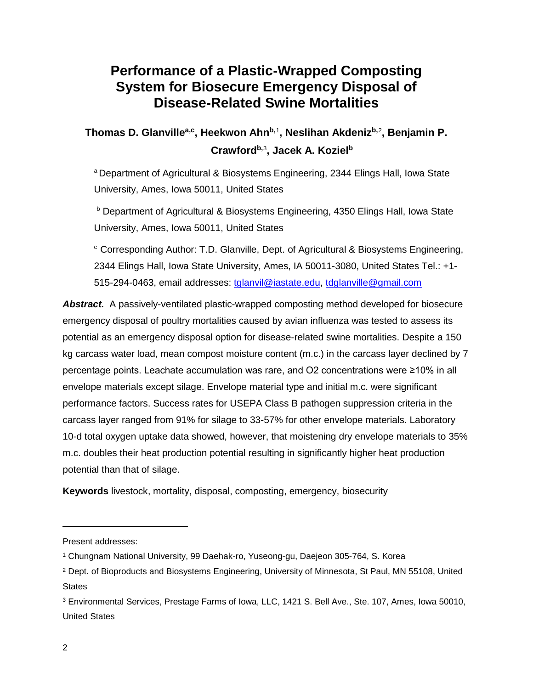# **Performance of a Plastic-Wrapped Composting System for Biosecure Emergency Disposal of Disease-Related Swine Mortalities**

**Thomas D. Glanvillea,c, Heekwon Ahnb,**[1](#page-0-0) **, Neslihan Akdenizb,**[2](#page-0-1) **, Benjamin P. Crawfordb,**[3](#page-0-2) **, Jacek A. Kozielb**

<sup>a</sup> Department of Agricultural & Biosystems Engineering, 2344 Elings Hall, Iowa State University, Ames, Iowa 50011, United States

**b** Department of Agricultural & Biosystems Engineering, 4350 Elings Hall, Iowa State University, Ames, Iowa 50011, United States

<sup>c</sup> Corresponding Author: T.D. Glanville, Dept. of Agricultural & Biosystems Engineering, 2344 Elings Hall, Iowa State University, Ames, IA 50011-3080, United States Tel.: +1 515-294-0463, email addresses: [tglanvil@iastate.edu,](mailto:tglanvil@iastate.edu) [tdglanville@gmail.com](mailto:tdglanville@gmail.com)

*Abstract.* A passively-ventilated plastic-wrapped composting method developed for biosecure emergency disposal of poultry mortalities caused by avian influenza was tested to assess its potential as an emergency disposal option for disease-related swine mortalities. Despite a 150 kg carcass water load, mean compost moisture content (m.c.) in the carcass layer declined by 7 percentage points. Leachate accumulation was rare, and O2 concentrations were ≥10% in all envelope materials except silage. Envelope material type and initial m.c. were significant performance factors. Success rates for USEPA Class B pathogen suppression criteria in the carcass layer ranged from 91% for silage to 33-57% for other envelope materials. Laboratory 10-d total oxygen uptake data showed, however, that moistening dry envelope materials to 35% m.c. doubles their heat production potential resulting in significantly higher heat production potential than that of silage.

**Keywords** livestock, mortality, disposal, composting, emergency, biosecurity

 $\overline{a}$ 

<span id="page-0-0"></span>Present addresses:

<sup>1</sup> Chungnam National University, 99 Daehak-ro, Yuseong-gu, Daejeon 305-764, S. Korea

<span id="page-0-1"></span><sup>2</sup> Dept. of Bioproducts and Biosystems Engineering, University of Minnesota, St Paul, MN 55108, United **States** 

<span id="page-0-2"></span><sup>3</sup> Environmental Services, Prestage Farms of Iowa, LLC, 1421 S. Bell Ave., Ste. 107, Ames, Iowa 50010, United States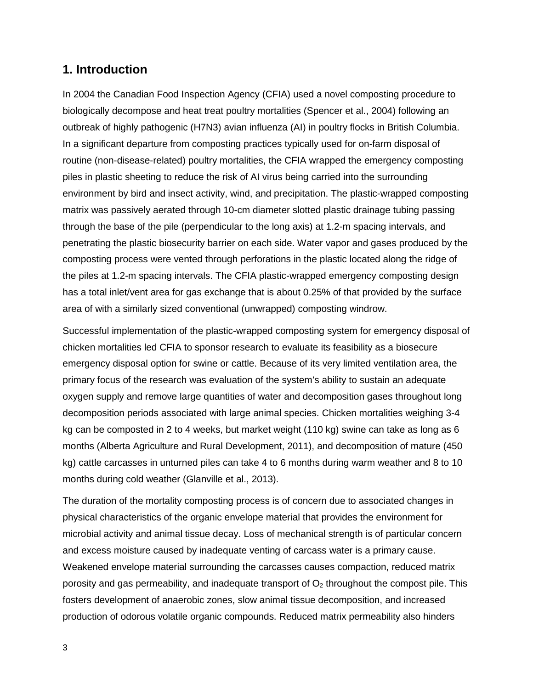# **1. Introduction**

In 2004 the Canadian Food Inspection Agency (CFIA) used a novel composting procedure to biologically decompose and heat treat poultry mortalities (Spencer et al., 2004) following an outbreak of highly pathogenic (H7N3) avian influenza (AI) in poultry flocks in British Columbia. In a significant departure from composting practices typically used for on-farm disposal of routine (non-disease-related) poultry mortalities, the CFIA wrapped the emergency composting piles in plastic sheeting to reduce the risk of AI virus being carried into the surrounding environment by bird and insect activity, wind, and precipitation. The plastic-wrapped composting matrix was passively aerated through 10-cm diameter slotted plastic drainage tubing passing through the base of the pile (perpendicular to the long axis) at 1.2-m spacing intervals, and penetrating the plastic biosecurity barrier on each side. Water vapor and gases produced by the composting process were vented through perforations in the plastic located along the ridge of the piles at 1.2-m spacing intervals. The CFIA plastic-wrapped emergency composting design has a total inlet/vent area for gas exchange that is about 0.25% of that provided by the surface area of with a similarly sized conventional (unwrapped) composting windrow.

Successful implementation of the plastic-wrapped composting system for emergency disposal of chicken mortalities led CFIA to sponsor research to evaluate its feasibility as a biosecure emergency disposal option for swine or cattle. Because of its very limited ventilation area, the primary focus of the research was evaluation of the system's ability to sustain an adequate oxygen supply and remove large quantities of water and decomposition gases throughout long decomposition periods associated with large animal species. Chicken mortalities weighing 3-4 kg can be composted in 2 to 4 weeks, but market weight (110 kg) swine can take as long as 6 months (Alberta Agriculture and Rural Development, 2011), and decomposition of mature (450 kg) cattle carcasses in unturned piles can take 4 to 6 months during warm weather and 8 to 10 months during cold weather (Glanville et al., 2013).

The duration of the mortality composting process is of concern due to associated changes in physical characteristics of the organic envelope material that provides the environment for microbial activity and animal tissue decay. Loss of mechanical strength is of particular concern and excess moisture caused by inadequate venting of carcass water is a primary cause. Weakened envelope material surrounding the carcasses causes compaction, reduced matrix porosity and gas permeability, and inadequate transport of  $O<sub>2</sub>$  throughout the compost pile. This fosters development of anaerobic zones, slow animal tissue decomposition, and increased production of odorous volatile organic compounds. Reduced matrix permeability also hinders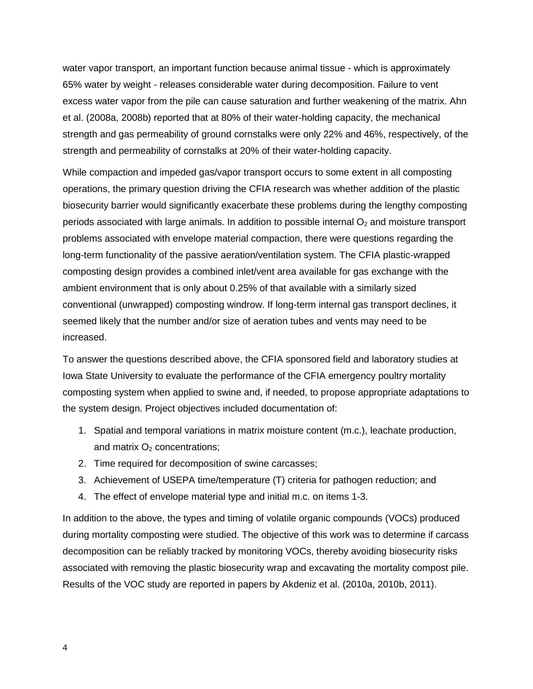water vapor transport, an important function because animal tissue - which is approximately 65% water by weight - releases considerable water during decomposition. Failure to vent excess water vapor from the pile can cause saturation and further weakening of the matrix. Ahn et al. (2008a, 2008b) reported that at 80% of their water-holding capacity, the mechanical strength and gas permeability of ground cornstalks were only 22% and 46%, respectively, of the strength and permeability of cornstalks at 20% of their water-holding capacity.

While compaction and impeded gas/vapor transport occurs to some extent in all composting operations, the primary question driving the CFIA research was whether addition of the plastic biosecurity barrier would significantly exacerbate these problems during the lengthy composting periods associated with large animals. In addition to possible internal  $O<sub>2</sub>$  and moisture transport problems associated with envelope material compaction, there were questions regarding the long-term functionality of the passive aeration/ventilation system. The CFIA plastic-wrapped composting design provides a combined inlet/vent area available for gas exchange with the ambient environment that is only about 0.25% of that available with a similarly sized conventional (unwrapped) composting windrow. If long-term internal gas transport declines, it seemed likely that the number and/or size of aeration tubes and vents may need to be increased.

To answer the questions described above, the CFIA sponsored field and laboratory studies at Iowa State University to evaluate the performance of the CFIA emergency poultry mortality composting system when applied to swine and, if needed, to propose appropriate adaptations to the system design. Project objectives included documentation of:

- 1. Spatial and temporal variations in matrix moisture content (m.c.), leachate production, and matrix  $O<sub>2</sub>$  concentrations;
- 2. Time required for decomposition of swine carcasses;
- 3. Achievement of USEPA time/temperature (T) criteria for pathogen reduction; and
- 4. The effect of envelope material type and initial m.c. on items 1-3.

In addition to the above, the types and timing of volatile organic compounds (VOCs) produced during mortality composting were studied. The objective of this work was to determine if carcass decomposition can be reliably tracked by monitoring VOCs, thereby avoiding biosecurity risks associated with removing the plastic biosecurity wrap and excavating the mortality compost pile. Results of the VOC study are reported in papers by Akdeniz et al. (2010a, 2010b, 2011).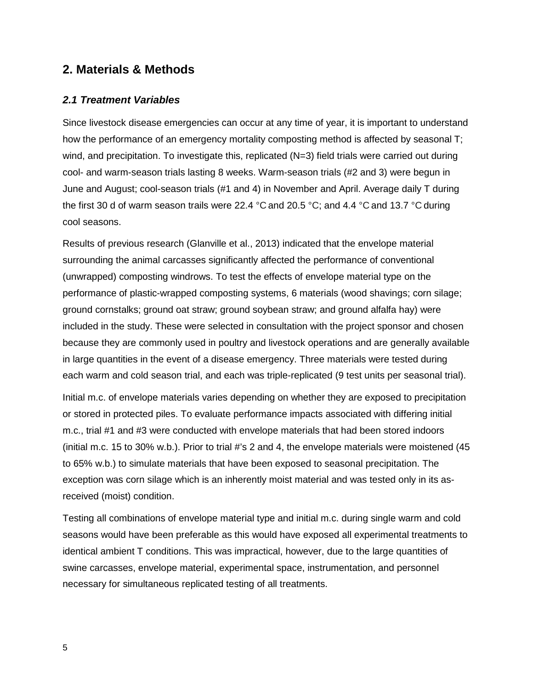# **2. Materials & Methods**

#### *2.1 Treatment Variables*

Since livestock disease emergencies can occur at any time of year, it is important to understand how the performance of an emergency mortality composting method is affected by seasonal T; wind, and precipitation. To investigate this, replicated (N=3) field trials were carried out during cool- and warm-season trials lasting 8 weeks. Warm-season trials (#2 and 3) were begun in June and August; cool-season trials (#1 and 4) in November and April. Average daily T during the first 30 d of warm season trails were 22.4 °C and 20.5 °C; and 4.4 °C and 13.7 °C during cool seasons.

Results of previous research (Glanville et al., 2013) indicated that the envelope material surrounding the animal carcasses significantly affected the performance of conventional (unwrapped) composting windrows. To test the effects of envelope material type on the performance of plastic-wrapped composting systems, 6 materials (wood shavings; corn silage; ground cornstalks; ground oat straw; ground soybean straw; and ground alfalfa hay) were included in the study. These were selected in consultation with the project sponsor and chosen because they are commonly used in poultry and livestock operations and are generally available in large quantities in the event of a disease emergency. Three materials were tested during each warm and cold season trial, and each was triple-replicated (9 test units per seasonal trial).

Initial m.c. of envelope materials varies depending on whether they are exposed to precipitation or stored in protected piles. To evaluate performance impacts associated with differing initial m.c., trial #1 and #3 were conducted with envelope materials that had been stored indoors (initial m.c. 15 to 30% w.b.). Prior to trial #'s 2 and 4, the envelope materials were moistened (45 to 65% w.b.) to simulate materials that have been exposed to seasonal precipitation. The exception was corn silage which is an inherently moist material and was tested only in its asreceived (moist) condition.

Testing all combinations of envelope material type and initial m.c. during single warm and cold seasons would have been preferable as this would have exposed all experimental treatments to identical ambient T conditions. This was impractical, however, due to the large quantities of swine carcasses, envelope material, experimental space, instrumentation, and personnel necessary for simultaneous replicated testing of all treatments.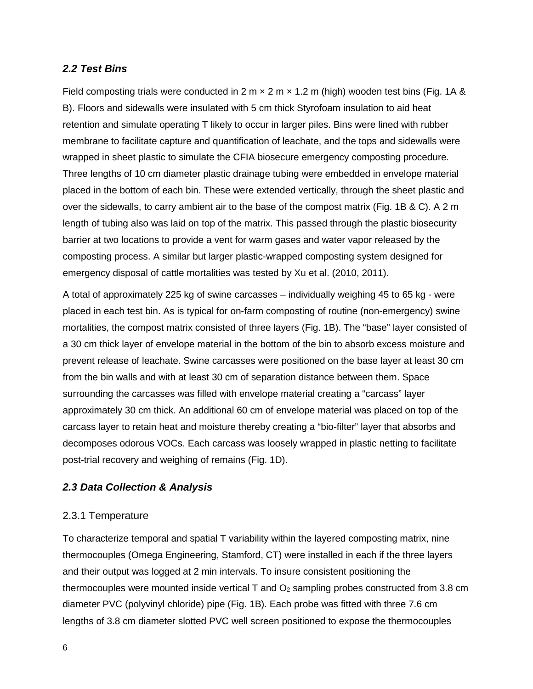#### *2.2 Test Bins*

Field composting trials were conducted in  $2 \text{ m} \times 2 \text{ m} \times 1.2 \text{ m}$  (high) wooden test bins (Fig. 1A & B). Floors and sidewalls were insulated with 5 cm thick Styrofoam insulation to aid heat retention and simulate operating T likely to occur in larger piles. Bins were lined with rubber membrane to facilitate capture and quantification of leachate, and the tops and sidewalls were wrapped in sheet plastic to simulate the CFIA biosecure emergency composting procedure. Three lengths of 10 cm diameter plastic drainage tubing were embedded in envelope material placed in the bottom of each bin. These were extended vertically, through the sheet plastic and over the sidewalls, to carry ambient air to the base of the compost matrix (Fig. 1B & C). A 2 m length of tubing also was laid on top of the matrix. This passed through the plastic biosecurity barrier at two locations to provide a vent for warm gases and water vapor released by the composting process. A similar but larger plastic-wrapped composting system designed for emergency disposal of cattle mortalities was tested by Xu et al. (2010, 2011).

A total of approximately 225 kg of swine carcasses – individually weighing 45 to 65 kg - were placed in each test bin. As is typical for on-farm composting of routine (non-emergency) swine mortalities, the compost matrix consisted of three layers (Fig. 1B). The "base" layer consisted of a 30 cm thick layer of envelope material in the bottom of the bin to absorb excess moisture and prevent release of leachate. Swine carcasses were positioned on the base layer at least 30 cm from the bin walls and with at least 30 cm of separation distance between them. Space surrounding the carcasses was filled with envelope material creating a "carcass" layer approximately 30 cm thick. An additional 60 cm of envelope material was placed on top of the carcass layer to retain heat and moisture thereby creating a "bio-filter" layer that absorbs and decomposes odorous VOCs. Each carcass was loosely wrapped in plastic netting to facilitate post-trial recovery and weighing of remains (Fig. 1D).

#### *2.3 Data Collection & Analysis*

#### 2.3.1 Temperature

To characterize temporal and spatial T variability within the layered composting matrix, nine thermocouples (Omega Engineering, Stamford, CT) were installed in each if the three layers and their output was logged at 2 min intervals. To insure consistent positioning the thermocouples were mounted inside vertical  $T$  and  $O_2$  sampling probes constructed from 3.8 cm diameter PVC (polyvinyl chloride) pipe (Fig. 1B). Each probe was fitted with three 7.6 cm lengths of 3.8 cm diameter slotted PVC well screen positioned to expose the thermocouples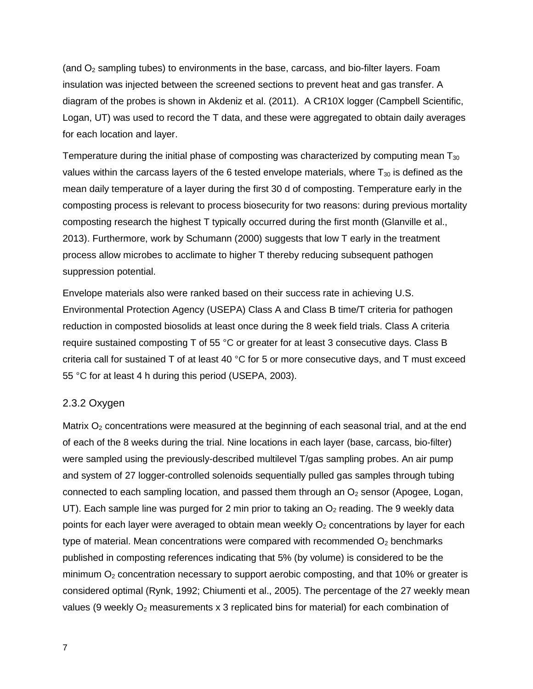(and  $O<sub>2</sub>$  sampling tubes) to environments in the base, carcass, and bio-filter layers. Foam insulation was injected between the screened sections to prevent heat and gas transfer. A diagram of the probes is shown in Akdeniz et al. (2011). A CR10X logger (Campbell Scientific, Logan, UT) was used to record the T data, and these were aggregated to obtain daily averages for each location and layer.

Temperature during the initial phase of composting was characterized by computing mean  $T_{30}$ values within the carcass layers of the 6 tested envelope materials, where  $T_{30}$  is defined as the mean daily temperature of a layer during the first 30 d of composting. Temperature early in the composting process is relevant to process biosecurity for two reasons: during previous mortality composting research the highest T typically occurred during the first month (Glanville et al., 2013). Furthermore, work by Schumann (2000) suggests that low T early in the treatment process allow microbes to acclimate to higher T thereby reducing subsequent pathogen suppression potential.

Envelope materials also were ranked based on their success rate in achieving U.S. Environmental Protection Agency (USEPA) Class A and Class B time/T criteria for pathogen reduction in composted biosolids at least once during the 8 week field trials. Class A criteria require sustained composting T of 55 °C or greater for at least 3 consecutive days. Class B criteria call for sustained T of at least 40 °C for 5 or more consecutive days, and T must exceed 55 °C for at least 4 h during this period (USEPA, 2003).

#### 2.3.2 Oxygen

Matrix  $O<sub>2</sub>$  concentrations were measured at the beginning of each seasonal trial, and at the end of each of the 8 weeks during the trial. Nine locations in each layer (base, carcass, bio-filter) were sampled using the previously-described multilevel T/gas sampling probes. An air pump and system of 27 logger-controlled solenoids sequentially pulled gas samples through tubing connected to each sampling location, and passed them through an  $O<sub>2</sub>$  sensor (Apogee, Logan, UT). Each sample line was purged for 2 min prior to taking an  $O<sub>2</sub>$  reading. The 9 weekly data points for each layer were averaged to obtain mean weekly  $O_2$  concentrations by layer for each type of material. Mean concentrations were compared with recommended  $O<sub>2</sub>$  benchmarks published in composting references indicating that 5% (by volume) is considered to be the minimum  $O_2$  concentration necessary to support aerobic composting, and that 10% or greater is considered optimal (Rynk, 1992; Chiumenti et al., 2005). The percentage of the 27 weekly mean values (9 weekly  $O_2$  measurements x 3 replicated bins for material) for each combination of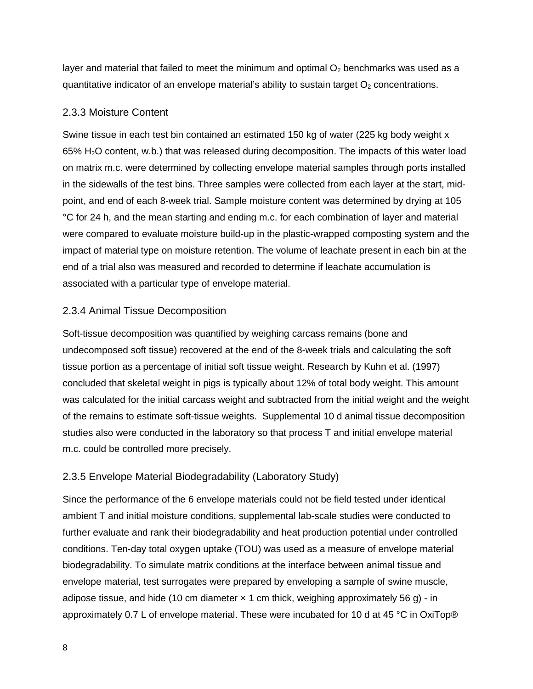layer and material that failed to meet the minimum and optimal  $O<sub>2</sub>$  benchmarks was used as a quantitative indicator of an envelope material's ability to sustain target  $O<sub>2</sub>$  concentrations.

### 2.3.3 Moisture Content

Swine tissue in each test bin contained an estimated 150 kg of water (225 kg body weight x 65% H2O content, w.b.) that was released during decomposition. The impacts of this water load on matrix m.c. were determined by collecting envelope material samples through ports installed in the sidewalls of the test bins. Three samples were collected from each layer at the start, midpoint, and end of each 8-week trial. Sample moisture content was determined by drying at 105 °C for 24 h, and the mean starting and ending m.c. for each combination of layer and material were compared to evaluate moisture build-up in the plastic-wrapped composting system and the impact of material type on moisture retention. The volume of leachate present in each bin at the end of a trial also was measured and recorded to determine if leachate accumulation is associated with a particular type of envelope material.

# 2.3.4 Animal Tissue Decomposition

Soft-tissue decomposition was quantified by weighing carcass remains (bone and undecomposed soft tissue) recovered at the end of the 8-week trials and calculating the soft tissue portion as a percentage of initial soft tissue weight. Research by Kuhn et al. (1997) concluded that skeletal weight in pigs is typically about 12% of total body weight. This amount was calculated for the initial carcass weight and subtracted from the initial weight and the weight of the remains to estimate soft-tissue weights. Supplemental 10 d animal tissue decomposition studies also were conducted in the laboratory so that process T and initial envelope material m.c. could be controlled more precisely.

# 2.3.5 Envelope Material Biodegradability (Laboratory Study)

Since the performance of the 6 envelope materials could not be field tested under identical ambient T and initial moisture conditions, supplemental lab-scale studies were conducted to further evaluate and rank their biodegradability and heat production potential under controlled conditions. Ten-day total oxygen uptake (TOU) was used as a measure of envelope material biodegradability. To simulate matrix conditions at the interface between animal tissue and envelope material, test surrogates were prepared by enveloping a sample of swine muscle, adipose tissue, and hide (10 cm diameter  $\times$  1 cm thick, weighing approximately 56 g) - in approximately 0.7 L of envelope material. These were incubated for 10 d at 45 °C in OxiTop®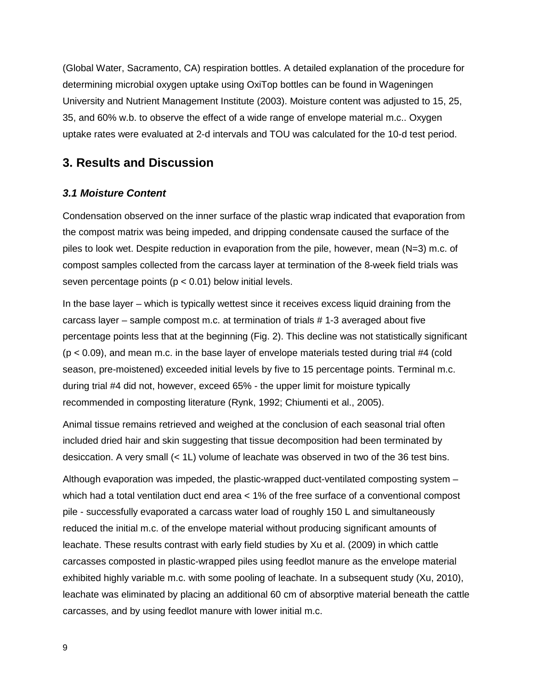(Global Water, Sacramento, CA) respiration bottles. A detailed explanation of the procedure for determining microbial oxygen uptake using OxiTop bottles can be found in Wageningen University and Nutrient Management Institute (2003). Moisture content was adjusted to 15, 25, 35, and 60% w.b. to observe the effect of a wide range of envelope material m.c.. Oxygen uptake rates were evaluated at 2-d intervals and TOU was calculated for the 10-d test period.

# **3. Results and Discussion**

#### *3.1 Moisture Content*

Condensation observed on the inner surface of the plastic wrap indicated that evaporation from the compost matrix was being impeded, and dripping condensate caused the surface of the piles to look wet. Despite reduction in evaporation from the pile, however, mean (N=3) m.c. of compost samples collected from the carcass layer at termination of the 8-week field trials was seven percentage points ( $p < 0.01$ ) below initial levels.

In the base layer – which is typically wettest since it receives excess liquid draining from the carcass layer – sample compost m.c. at termination of trials # 1-3 averaged about five percentage points less that at the beginning (Fig. 2). This decline was not statistically significant  $(p < 0.09)$ , and mean m.c. in the base layer of envelope materials tested during trial #4 (cold season, pre-moistened) exceeded initial levels by five to 15 percentage points. Terminal m.c. during trial #4 did not, however, exceed 65% - the upper limit for moisture typically recommended in composting literature (Rynk, 1992; Chiumenti et al., 2005).

Animal tissue remains retrieved and weighed at the conclusion of each seasonal trial often included dried hair and skin suggesting that tissue decomposition had been terminated by desiccation. A very small (< 1L) volume of leachate was observed in two of the 36 test bins.

Although evaporation was impeded, the plastic-wrapped duct-ventilated composting system – which had a total ventilation duct end area < 1% of the free surface of a conventional compost pile - successfully evaporated a carcass water load of roughly 150 L and simultaneously reduced the initial m.c. of the envelope material without producing significant amounts of leachate. These results contrast with early field studies by Xu et al. (2009) in which cattle carcasses composted in plastic-wrapped piles using feedlot manure as the envelope material exhibited highly variable m.c. with some pooling of leachate. In a subsequent study (Xu, 2010), leachate was eliminated by placing an additional 60 cm of absorptive material beneath the cattle carcasses, and by using feedlot manure with lower initial m.c.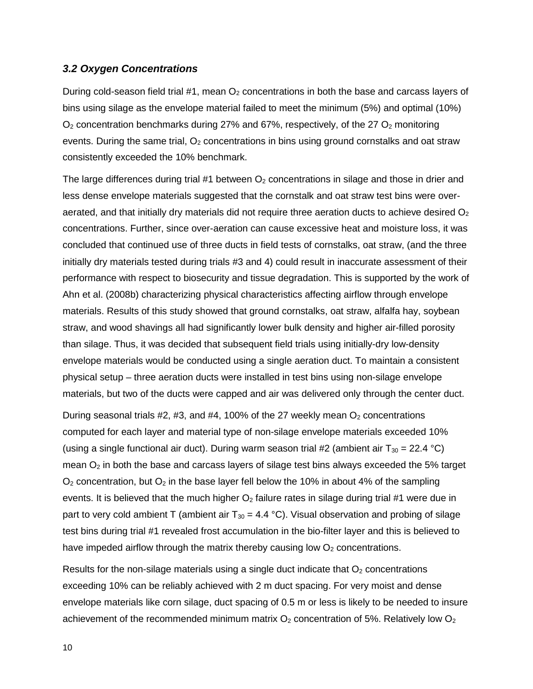#### *3.2 Oxygen Concentrations*

During cold-season field trial #1, mean  $O_2$  concentrations in both the base and carcass layers of bins using silage as the envelope material failed to meet the minimum (5%) and optimal (10%)  $O<sub>2</sub>$  concentration benchmarks during 27% and 67%, respectively, of the 27  $O<sub>2</sub>$  monitoring events. During the same trial,  $O<sub>2</sub>$  concentrations in bins using ground cornstalks and oat straw consistently exceeded the 10% benchmark.

The large differences during trial #1 between  $O<sub>2</sub>$  concentrations in silage and those in drier and less dense envelope materials suggested that the cornstalk and oat straw test bins were overaerated, and that initially dry materials did not require three aeration ducts to achieve desired  $O<sub>2</sub>$ concentrations. Further, since over-aeration can cause excessive heat and moisture loss, it was concluded that continued use of three ducts in field tests of cornstalks, oat straw, (and the three initially dry materials tested during trials #3 and 4) could result in inaccurate assessment of their performance with respect to biosecurity and tissue degradation. This is supported by the work of Ahn et al. (2008b) characterizing physical characteristics affecting airflow through envelope materials. Results of this study showed that ground cornstalks, oat straw, alfalfa hay, soybean straw, and wood shavings all had significantly lower bulk density and higher air-filled porosity than silage. Thus, it was decided that subsequent field trials using initially-dry low-density envelope materials would be conducted using a single aeration duct. To maintain a consistent physical setup – three aeration ducts were installed in test bins using non-silage envelope materials, but two of the ducts were capped and air was delivered only through the center duct.

During seasonal trials  $#2, #3,$  and  $#4, 100\%$  of the 27 weekly mean  $O_2$  concentrations computed for each layer and material type of non-silage envelope materials exceeded 10% (using a single functional air duct). During warm season trial #2 (ambient air  $T_{30} = 22.4 \text{ }^{\circ}\text{C}$ ) mean  $O<sub>2</sub>$  in both the base and carcass layers of silage test bins always exceeded the 5% target  $O<sub>2</sub>$  concentration, but  $O<sub>2</sub>$  in the base layer fell below the 10% in about 4% of the sampling events. It is believed that the much higher  $O<sub>2</sub>$  failure rates in silage during trial #1 were due in part to very cold ambient T (ambient air  $T_{30} = 4.4 \text{ °C}$ ). Visual observation and probing of silage test bins during trial #1 revealed frost accumulation in the bio-filter layer and this is believed to have impeded airflow through the matrix thereby causing low  $O<sub>2</sub>$  concentrations.

Results for the non-silage materials using a single duct indicate that  $O<sub>2</sub>$  concentrations exceeding 10% can be reliably achieved with 2 m duct spacing. For very moist and dense envelope materials like corn silage, duct spacing of 0.5 m or less is likely to be needed to insure achievement of the recommended minimum matrix  $O_2$  concentration of 5%. Relatively low  $O_2$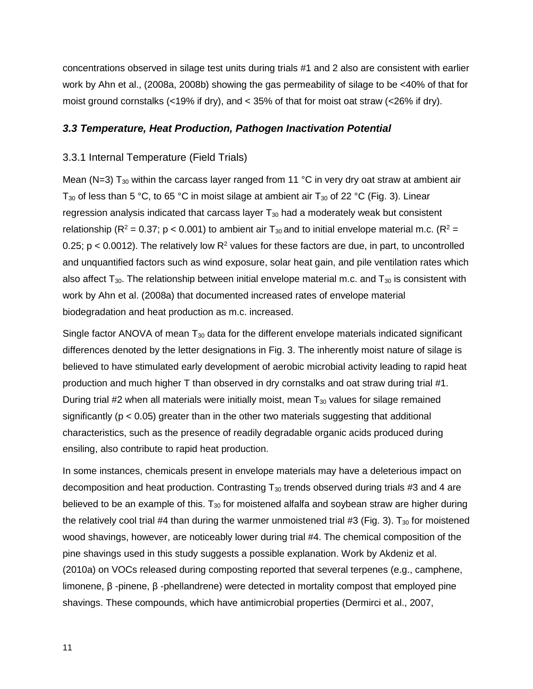concentrations observed in silage test units during trials #1 and 2 also are consistent with earlier work by Ahn et al., (2008a, 2008b) showing the gas permeability of silage to be <40% of that for moist ground cornstalks (<19% if dry), and < 35% of that for moist oat straw (<26% if dry).

#### *3.3 Temperature, Heat Production, Pathogen Inactivation Potential*

#### 3.3.1 Internal Temperature (Field Trials)

Mean (N=3)  $T_{30}$  within the carcass layer ranged from 11 °C in very dry oat straw at ambient air T<sub>30</sub> of less than 5 °C, to 65 °C in moist silage at ambient air T<sub>30</sub> of 22 °C (Fig. 3). Linear regression analysis indicated that carcass layer  $T_{30}$  had a moderately weak but consistent relationship ( $R^2$  = 0.37; p < 0.001) to ambient air T<sub>30</sub> and to initial envelope material m.c. ( $R^2$  = 0.25;  $p < 0.0012$ ). The relatively low  $R^2$  values for these factors are due, in part, to uncontrolled and unquantified factors such as wind exposure, solar heat gain, and pile ventilation rates which also affect  $T_{30}$ . The relationship between initial envelope material m.c. and  $T_{30}$  is consistent with work by Ahn et al. (2008a) that documented increased rates of envelope material biodegradation and heat production as m.c. increased.

Single factor ANOVA of mean  $T_{30}$  data for the different envelope materials indicated significant differences denoted by the letter designations in Fig. 3. The inherently moist nature of silage is believed to have stimulated early development of aerobic microbial activity leading to rapid heat production and much higher T than observed in dry cornstalks and oat straw during trial #1. During trial #2 when all materials were initially moist, mean  $T_{30}$  values for silage remained significantly ( $p < 0.05$ ) greater than in the other two materials suggesting that additional characteristics, such as the presence of readily degradable organic acids produced during ensiling, also contribute to rapid heat production.

In some instances, chemicals present in envelope materials may have a deleterious impact on decomposition and heat production. Contrasting  $T_{30}$  trends observed during trials #3 and 4 are believed to be an example of this.  $T_{30}$  for moistened alfalfa and soybean straw are higher during the relatively cool trial #4 than during the warmer unmoistened trial #3 (Fig. 3).  $T_{30}$  for moistened wood shavings, however, are noticeably lower during trial #4. The chemical composition of the pine shavings used in this study suggests a possible explanation. Work by Akdeniz et al. (2010a) on VOCs released during composting reported that several terpenes (e.g., camphene, limonene, β -pinene, β -phellandrene) were detected in mortality compost that employed pine shavings. These compounds, which have antimicrobial properties (Dermirci et al., 2007,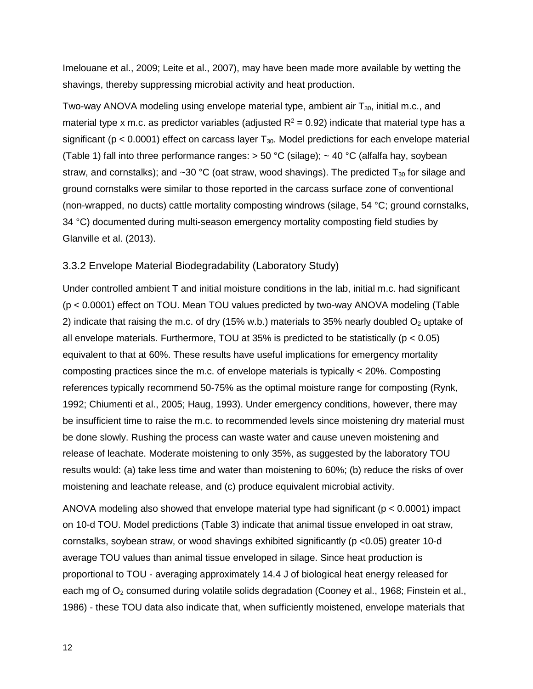Imelouane et al., 2009; Leite et al., 2007), may have been made more available by wetting the shavings, thereby suppressing microbial activity and heat production.

Two-way ANOVA modeling using envelope material type, ambient air  $T_{30}$ , initial m.c., and material type x m.c. as predictor variables (adjusted  $R^2 = 0.92$ ) indicate that material type has a significant ( $p < 0.0001$ ) effect on carcass layer  $T_{30}$ . Model predictions for each envelope material (Table 1) fall into three performance ranges:  $>$  50 °C (silage);  $\sim$  40 °C (alfalfa hay, soybean straw, and cornstalks); and ~30 °C (oat straw, wood shavings). The predicted  $T_{30}$  for silage and ground cornstalks were similar to those reported in the carcass surface zone of conventional (non-wrapped, no ducts) cattle mortality composting windrows (silage, 54 °C; ground cornstalks, 34 °C) documented during multi-season emergency mortality composting field studies by Glanville et al. (2013).

#### 3.3.2 Envelope Material Biodegradability (Laboratory Study)

Under controlled ambient T and initial moisture conditions in the lab, initial m.c. had significant (p < 0.0001) effect on TOU. Mean TOU values predicted by two-way ANOVA modeling (Table 2) indicate that raising the m.c. of dry (15% w.b.) materials to 35% nearly doubled  $O<sub>2</sub>$  uptake of all envelope materials. Furthermore, TOU at 35% is predicted to be statistically (p < 0.05) equivalent to that at 60%. These results have useful implications for emergency mortality composting practices since the m.c. of envelope materials is typically < 20%. Composting references typically recommend 50-75% as the optimal moisture range for composting (Rynk, 1992; Chiumenti et al., 2005; Haug, 1993). Under emergency conditions, however, there may be insufficient time to raise the m.c. to recommended levels since moistening dry material must be done slowly. Rushing the process can waste water and cause uneven moistening and release of leachate. Moderate moistening to only 35%, as suggested by the laboratory TOU results would: (a) take less time and water than moistening to 60%; (b) reduce the risks of over moistening and leachate release, and (c) produce equivalent microbial activity.

ANOVA modeling also showed that envelope material type had significant ( $p < 0.0001$ ) impact on 10-d TOU. Model predictions (Table 3) indicate that animal tissue enveloped in oat straw, cornstalks, soybean straw, or wood shavings exhibited significantly (p <0.05) greater 10-d average TOU values than animal tissue enveloped in silage. Since heat production is proportional to TOU - averaging approximately 14.4 J of biological heat energy released for each mg of  $O_2$  consumed during volatile solids degradation (Cooney et al., 1968; Finstein et al., 1986) - these TOU data also indicate that, when sufficiently moistened, envelope materials that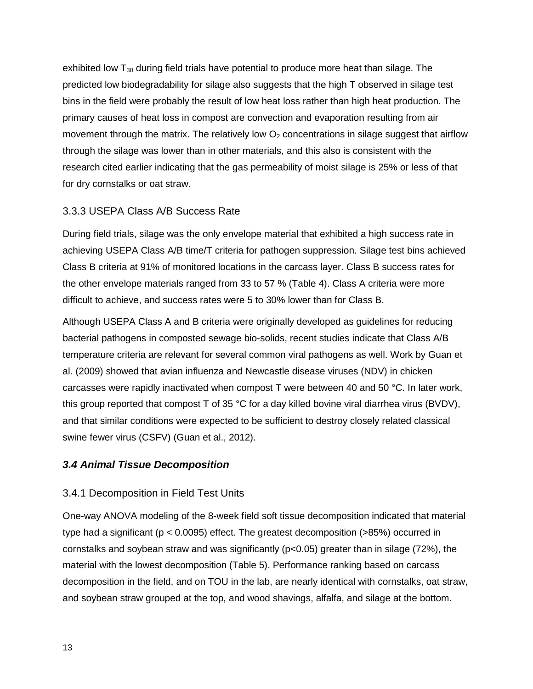exhibited low  $T_{30}$  during field trials have potential to produce more heat than silage. The predicted low biodegradability for silage also suggests that the high T observed in silage test bins in the field were probably the result of low heat loss rather than high heat production. The primary causes of heat loss in compost are convection and evaporation resulting from air movement through the matrix. The relatively low  $O<sub>2</sub>$  concentrations in silage suggest that airflow through the silage was lower than in other materials, and this also is consistent with the research cited earlier indicating that the gas permeability of moist silage is 25% or less of that for dry cornstalks or oat straw.

#### 3.3.3 USEPA Class A/B Success Rate

During field trials, silage was the only envelope material that exhibited a high success rate in achieving USEPA Class A/B time/T criteria for pathogen suppression. Silage test bins achieved Class B criteria at 91% of monitored locations in the carcass layer. Class B success rates for the other envelope materials ranged from 33 to 57 % (Table 4). Class A criteria were more difficult to achieve, and success rates were 5 to 30% lower than for Class B.

Although USEPA Class A and B criteria were originally developed as guidelines for reducing bacterial pathogens in composted sewage bio-solids, recent studies indicate that Class A/B temperature criteria are relevant for several common viral pathogens as well. Work by Guan et al. (2009) showed that avian influenza and Newcastle disease viruses (NDV) in chicken carcasses were rapidly inactivated when compost T were between 40 and 50 °C. In later work, this group reported that compost T of 35 °C for a day killed bovine viral diarrhea virus (BVDV), and that similar conditions were expected to be sufficient to destroy closely related classical swine fewer virus (CSFV) (Guan et al., 2012).

#### *3.4 Animal Tissue Decomposition*

#### 3.4.1 Decomposition in Field Test Units

One-way ANOVA modeling of the 8-week field soft tissue decomposition indicated that material type had a significant (p < 0.0095) effect. The greatest decomposition (>85%) occurred in cornstalks and soybean straw and was significantly (p<0.05) greater than in silage (72%), the material with the lowest decomposition (Table 5). Performance ranking based on carcass decomposition in the field, and on TOU in the lab, are nearly identical with cornstalks, oat straw, and soybean straw grouped at the top, and wood shavings, alfalfa, and silage at the bottom.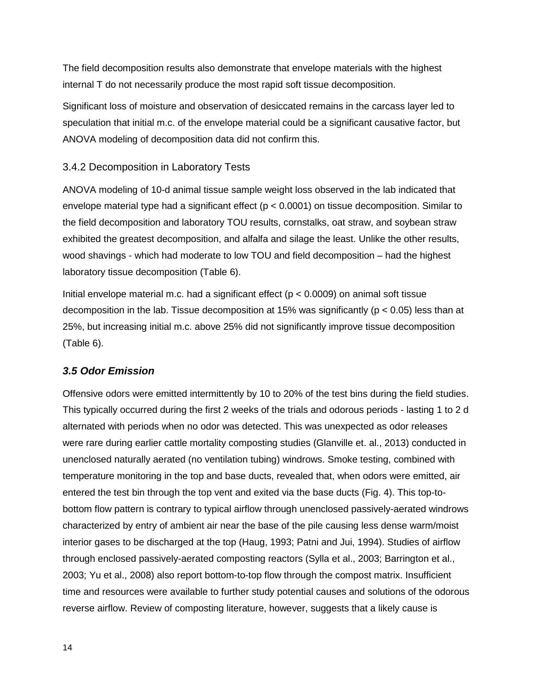The field decomposition results also demonstrate that envelope materials with the highest internal T do not necessarily produce the most rapid soft tissue decomposition.

Significant loss of moisture and observation of desiccated remains in the carcass layer led to speculation that initial m.c. of the envelope material could be a significant causative factor, but ANOVA modeling of decomposition data did not confirm this.

# 3.4.2 Decomposition in Laboratory Tests

ANOVA modeling of 10-d animal tissue sample weight loss observed in the lab indicated that envelope material type had a significant effect ( $p < 0.0001$ ) on tissue decomposition. Similar to the field decomposition and laboratory TOU results, cornstalks, oat straw, and soybean straw exhibited the greatest decomposition, and alfalfa and silage the least. Unlike the other results, wood shavings - which had moderate to low TOU and field decomposition – had the highest laboratory tissue decomposition (Table 6).

Initial envelope material m.c. had a significant effect ( $p < 0.0009$ ) on animal soft tissue decomposition in the lab. Tissue decomposition at 15% was significantly ( $p < 0.05$ ) less than at 25%, but increasing initial m.c. above 25% did not significantly improve tissue decomposition (Table 6).

# *3.5 Odor Emission*

Offensive odors were emitted intermittently by 10 to 20% of the test bins during the field studies. This typically occurred during the first 2 weeks of the trials and odorous periods - lasting 1 to 2 d alternated with periods when no odor was detected. This was unexpected as odor releases were rare during earlier cattle mortality composting studies (Glanville et. al., 2013) conducted in unenclosed naturally aerated (no ventilation tubing) windrows. Smoke testing, combined with temperature monitoring in the top and base ducts, revealed that, when odors were emitted, air entered the test bin through the top vent and exited via the base ducts (Fig. 4). This top-tobottom flow pattern is contrary to typical airflow through unenclosed passively-aerated windrows characterized by entry of ambient air near the base of the pile causing less dense warm/moist interior gases to be discharged at the top (Haug, 1993; Patni and Jui, 1994). Studies of airflow through enclosed passively-aerated composting reactors (Sylla et al., 2003; Barrington et al., 2003; Yu et al., 2008) also report bottom-to-top flow through the compost matrix. Insufficient time and resources were available to further study potential causes and solutions of the odorous reverse airflow. Review of composting literature, however, suggests that a likely cause is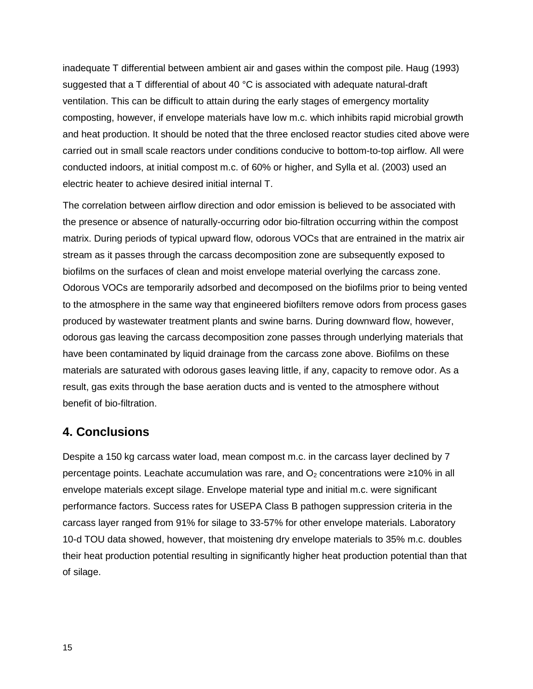inadequate T differential between ambient air and gases within the compost pile. Haug (1993) suggested that a T differential of about 40 °C is associated with adequate natural-draft ventilation. This can be difficult to attain during the early stages of emergency mortality composting, however, if envelope materials have low m.c. which inhibits rapid microbial growth and heat production. It should be noted that the three enclosed reactor studies cited above were carried out in small scale reactors under conditions conducive to bottom-to-top airflow. All were conducted indoors, at initial compost m.c. of 60% or higher, and Sylla et al. (2003) used an electric heater to achieve desired initial internal T.

The correlation between airflow direction and odor emission is believed to be associated with the presence or absence of naturally-occurring odor bio-filtration occurring within the compost matrix. During periods of typical upward flow, odorous VOCs that are entrained in the matrix air stream as it passes through the carcass decomposition zone are subsequently exposed to biofilms on the surfaces of clean and moist envelope material overlying the carcass zone. Odorous VOCs are temporarily adsorbed and decomposed on the biofilms prior to being vented to the atmosphere in the same way that engineered biofilters remove odors from process gases produced by wastewater treatment plants and swine barns. During downward flow, however, odorous gas leaving the carcass decomposition zone passes through underlying materials that have been contaminated by liquid drainage from the carcass zone above. Biofilms on these materials are saturated with odorous gases leaving little, if any, capacity to remove odor. As a result, gas exits through the base aeration ducts and is vented to the atmosphere without benefit of bio-filtration.

# **4. Conclusions**

Despite a 150 kg carcass water load, mean compost m.c. in the carcass layer declined by 7 percentage points. Leachate accumulation was rare, and  $O<sub>2</sub>$  concentrations were  $\geq$ 10% in all envelope materials except silage. Envelope material type and initial m.c. were significant performance factors. Success rates for USEPA Class B pathogen suppression criteria in the carcass layer ranged from 91% for silage to 33-57% for other envelope materials. Laboratory 10-d TOU data showed, however, that moistening dry envelope materials to 35% m.c. doubles their heat production potential resulting in significantly higher heat production potential than that of silage.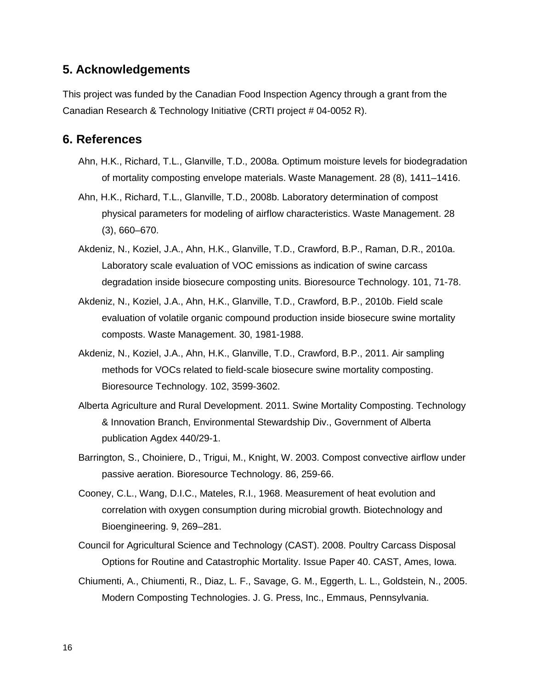# **5. Acknowledgements**

This project was funded by the Canadian Food Inspection Agency through a grant from the Canadian Research & Technology Initiative (CRTI project # 04-0052 R).

# **6. References**

- Ahn, H.K., Richard, T.L., Glanville, T.D., 2008a. Optimum moisture levels for biodegradation of mortality composting envelope materials. Waste Management. 28 (8), 1411–1416.
- Ahn, H.K., Richard, T.L., Glanville, T.D., 2008b. Laboratory determination of compost physical parameters for modeling of airflow characteristics. Waste Management. 28 (3), 660–670.
- Akdeniz, N., Koziel, J.A., Ahn, H.K., Glanville, T.D., Crawford, B.P., Raman, D.R., 2010a. Laboratory scale evaluation of VOC emissions as indication of swine carcass degradation inside biosecure composting units. Bioresource Technology. 101, 71-78.
- Akdeniz, N., Koziel, J.A., Ahn, H.K., Glanville, T.D., Crawford, B.P., 2010b. Field scale evaluation of volatile organic compound production inside biosecure swine mortality composts. Waste Management. 30, 1981-1988.
- Akdeniz, N., Koziel, J.A., Ahn, H.K., Glanville, T.D., Crawford, B.P., 2011. Air sampling methods for VOCs related to field-scale biosecure swine mortality composting. Bioresource Technology. 102, 3599-3602.
- Alberta Agriculture and Rural Development. 2011. Swine Mortality Composting. Technology & Innovation Branch, Environmental Stewardship Div., Government of Alberta publication Agdex 440/29-1.
- Barrington, S., Choiniere, D., Trigui, M., Knight, W. 2003. Compost convective airflow under passive aeration. Bioresource Technology. 86, 259-66.
- Cooney, C.L., Wang, D.I.C., Mateles, R.I., 1968. Measurement of heat evolution and correlation with oxygen consumption during microbial growth. Biotechnology and Bioengineering. 9, 269–281.
- Council for Agricultural Science and Technology (CAST). 2008. Poultry Carcass Disposal Options for Routine and Catastrophic Mortality. Issue Paper 40. CAST, Ames, Iowa.
- Chiumenti, A., Chiumenti, R., Diaz, L. F., Savage, G. M., Eggerth, L. L., Goldstein, N., 2005. Modern Composting Technologies. J. G. Press, Inc., Emmaus, Pennsylvania.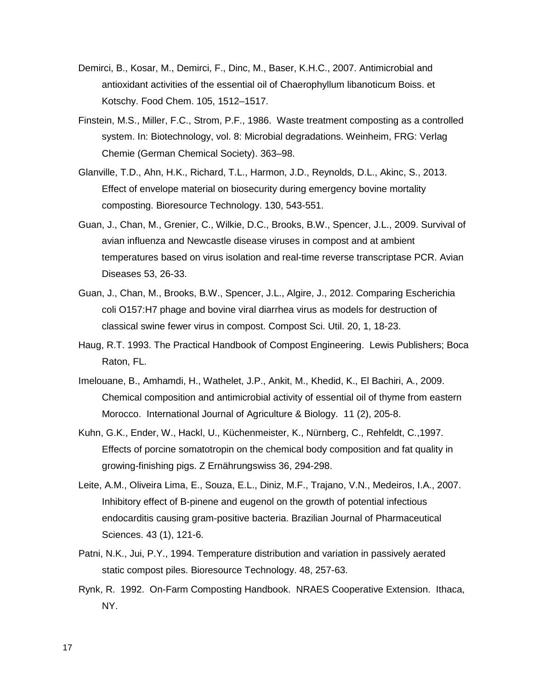- Demirci, B., Kosar, M., Demirci, F., Dinc, M., Baser, K.H.C., 2007. Antimicrobial and antioxidant activities of the essential oil of Chaerophyllum libanoticum Boiss. et Kotschy. Food Chem. 105, 1512–1517.
- Finstein, M.S., Miller, F.C., Strom, P.F., 1986. Waste treatment composting as a controlled system. In: Biotechnology, vol. 8: Microbial degradations. Weinheim, FRG: Verlag Chemie (German Chemical Society). 363–98.
- Glanville, T.D., Ahn, H.K., Richard, T.L., Harmon, J.D., Reynolds, D.L., Akinc, S., 2013. Effect of envelope material on biosecurity during emergency bovine mortality composting. Bioresource Technology. 130, 543-551.
- Guan, J., Chan, M., Grenier, C., Wilkie, D.C., Brooks, B.W., Spencer, J.L., 2009. Survival of avian influenza and Newcastle disease viruses in compost and at ambient temperatures based on virus isolation and real-time reverse transcriptase PCR. Avian Diseases 53, 26-33.
- Guan, J., Chan, M., Brooks, B.W., Spencer, J.L., Algire, J., 2012. Comparing Escherichia coli O157:H7 phage and bovine viral diarrhea virus as models for destruction of classical swine fewer virus in compost. Compost Sci. Util. 20, 1, 18-23.
- Haug, R.T. 1993. The Practical Handbook of Compost Engineering. Lewis Publishers; Boca Raton, FL.
- Imelouane, B., Amhamdi, H., Wathelet, J.P., Ankit, M., Khedid, K., El Bachiri, A., 2009. Chemical composition and antimicrobial activity of essential oil of thyme from eastern Morocco. International Journal of Agriculture & Biology. 11 (2), 205-8.
- Kuhn, G.K., Ender, W., Hackl, U., Küchenmeister, K., Nürnberg, C., Rehfeldt, C.,1997. Effects of porcine somatotropin on the chemical body composition and fat quality in growing-finishing pigs. Z Ernährungswiss 36, 294-298.
- Leite, A.M., Oliveira Lima, E., Souza, E.L., Diniz, M.F., Trajano, V.N., Medeiros, I.A., 2007. Inhibitory effect of B-pinene and eugenol on the growth of potential infectious endocarditis causing gram-positive bacteria. Brazilian Journal of Pharmaceutical Sciences. 43 (1), 121-6.
- Patni, N.K., Jui, P.Y., 1994. Temperature distribution and variation in passively aerated static compost piles. Bioresource Technology. 48, 257-63.
- Rynk, R. 1992. On-Farm Composting Handbook. NRAES Cooperative Extension. Ithaca, NY.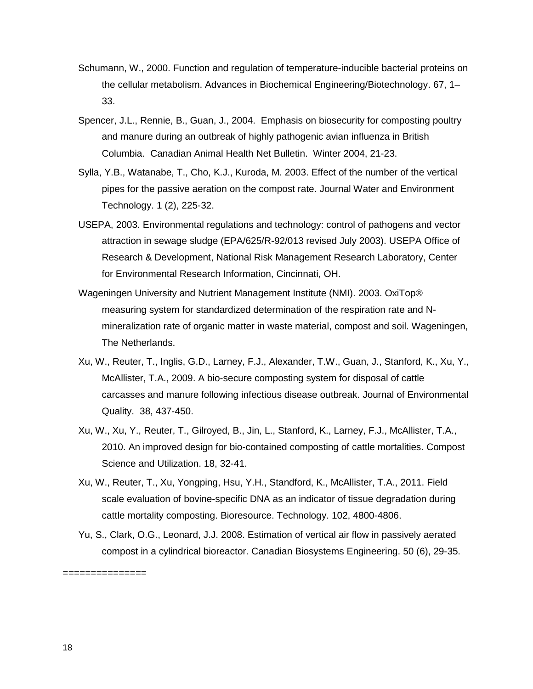- Schumann, W., 2000. Function and regulation of temperature-inducible bacterial proteins on the cellular metabolism. Advances in Biochemical Engineering/Biotechnology. 67, 1– 33.
- Spencer, J.L., Rennie, B., Guan, J., 2004. Emphasis on biosecurity for composting poultry and manure during an outbreak of highly pathogenic avian influenza in British Columbia. Canadian Animal Health Net Bulletin. Winter 2004, 21-23.
- Sylla, Y.B., Watanabe, T., Cho, K.J., Kuroda, M. 2003. Effect of the number of the vertical pipes for the passive aeration on the compost rate. Journal Water and Environment Technology. 1 (2), 225-32.
- USEPA, 2003. Environmental regulations and technology: control of pathogens and vector attraction in sewage sludge (EPA/625/R-92/013 revised July 2003). USEPA Office of Research & Development, National Risk Management Research Laboratory, Center for Environmental Research Information, Cincinnati, OH.
- Wageningen University and Nutrient Management Institute (NMI). 2003. OxiTop® measuring system for standardized determination of the respiration rate and Nmineralization rate of organic matter in waste material, compost and soil. Wageningen, The Netherlands.
- Xu, W., Reuter, T., Inglis, G.D., Larney, F.J., Alexander, T.W., Guan, J., Stanford, K., Xu, Y., McAllister, T.A., 2009. A bio-secure composting system for disposal of cattle carcasses and manure following infectious disease outbreak. Journal of Environmental Quality. 38, 437-450.
- Xu, W., Xu, Y., Reuter, T., Gilroyed, B., Jin, L., Stanford, K., Larney, F.J., McAllister, T.A., 2010. An improved design for bio-contained composting of cattle mortalities. Compost Science and Utilization. 18, 32-41.
- Xu, W., Reuter, T., Xu, Yongping, Hsu, Y.H., Standford, K., McAllister, T.A., 2011. Field scale evaluation of bovine-specific DNA as an indicator of tissue degradation during cattle mortality composting. Bioresource. Technology. 102, 4800-4806.
- Yu, S., Clark, O.G., Leonard, J.J. 2008. Estimation of vertical air flow in passively aerated compost in a cylindrical bioreactor. Canadian Biosystems Engineering. 50 (6), 29-35.

18

===============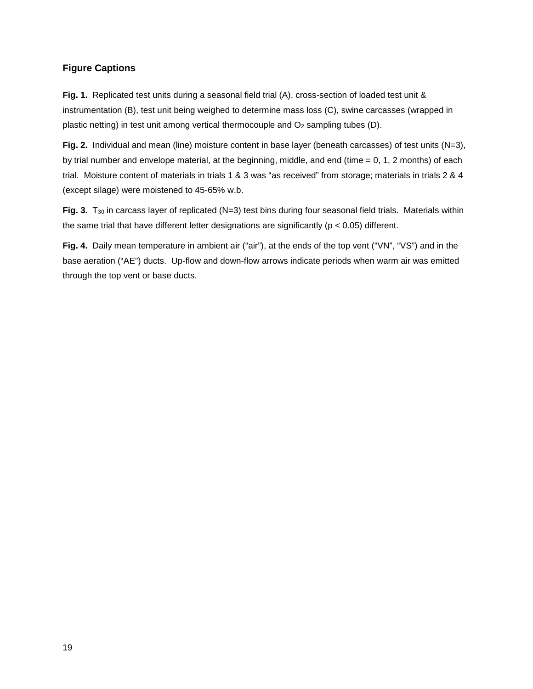#### **Figure Captions**

**Fig. 1.** Replicated test units during a seasonal field trial (A), cross-section of loaded test unit & instrumentation (B), test unit being weighed to determine mass loss (C), swine carcasses (wrapped in plastic netting) in test unit among vertical thermocouple and  $O<sub>2</sub>$  sampling tubes (D).

**Fig. 2.** Individual and mean (line) moisture content in base layer (beneath carcasses) of test units (N=3), by trial number and envelope material, at the beginning, middle, and end (time  $= 0, 1, 2$  months) of each trial. Moisture content of materials in trials 1 & 3 was "as received" from storage; materials in trials 2 & 4 (except silage) were moistened to 45-65% w.b.

Fig. 3. T<sub>30</sub> in carcass layer of replicated (N=3) test bins during four seasonal field trials. Materials within the same trial that have different letter designations are significantly ( $p < 0.05$ ) different.

**Fig. 4.** Daily mean temperature in ambient air ("air"), at the ends of the top vent ("VN", "VS") and in the base aeration ("AE") ducts. Up-flow and down-flow arrows indicate periods when warm air was emitted through the top vent or base ducts.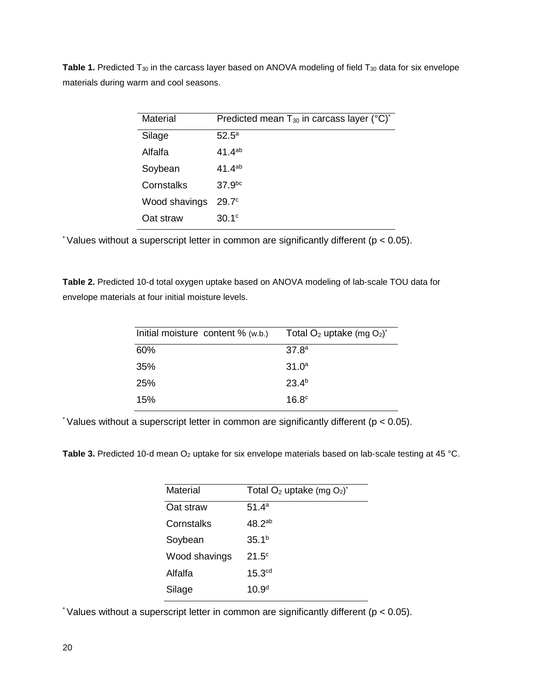Table 1. Predicted T<sub>30</sub> in the carcass layer based on ANOVA modeling of field T<sub>30</sub> data for six envelope materials during warm and cool seasons.

| <b>Material</b> | Predicted mean T <sub>30</sub> in carcass layer (°C) <sup>*</sup> |
|-----------------|-------------------------------------------------------------------|
| Silage          | $52.5^{\circ}$                                                    |
| Alfalfa         | $41.4^{ab}$                                                       |
| Soybean         | $41.4^{ab}$                                                       |
| Cornstalks      | 37.9 <sup>bc</sup>                                                |
| Wood shavings   | 29.7 <sup>c</sup>                                                 |
| Oat straw       | 30.1 <sup>c</sup>                                                 |

\* Values without a superscript letter in common are significantly different ( $p < 0.05$ ).

**Table 2.** Predicted 10-d total oxygen uptake based on ANOVA modeling of lab-scale TOU data for envelope materials at four initial moisture levels.

| Initial moisture content % (w.b.)<br>Total $O_2$ uptake (mg $O_2$ ) <sup>*</sup> |  |
|----------------------------------------------------------------------------------|--|
| 60%<br>37.8 <sup>a</sup>                                                         |  |
| $31.0^a$<br>35%                                                                  |  |
| $23.4^{b}$<br><b>25%</b>                                                         |  |
| 16.8 <sup>c</sup><br>15%                                                         |  |

\* Values without a superscript letter in common are significantly different ( $p < 0.05$ ).

Table 3. Predicted 10-d mean O<sub>2</sub> uptake for six envelope materials based on lab-scale testing at 45 °C.

| Material      | Total $O_2$ uptake (mg $O_2$ ) <sup>*</sup> |
|---------------|---------------------------------------------|
| Oat straw     | 51.4 <sup>a</sup>                           |
| Cornstalks    | 48.2 <sup>ab</sup>                          |
| Soybean       | 35.1 <sup>b</sup>                           |
| Wood shavings | $21.5^{\circ}$                              |
| Alfalfa       | 15.3 <sup>cd</sup>                          |
| Silage        | 10.9 <sup>d</sup>                           |

\* Values without a superscript letter in common are significantly different ( $p < 0.05$ ).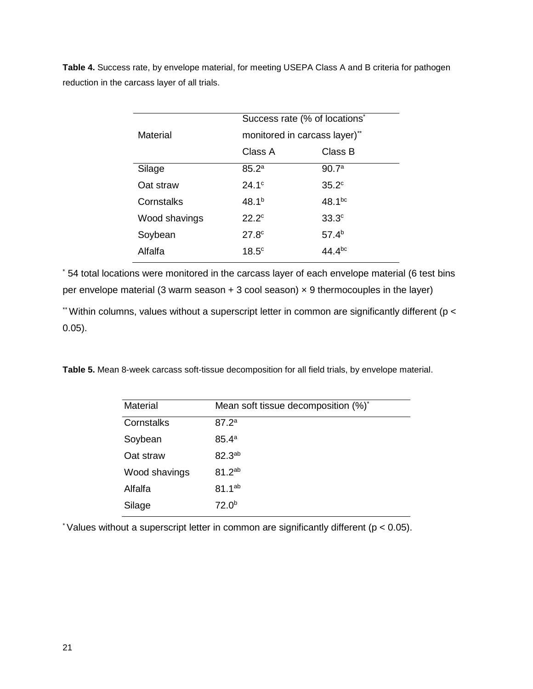**Table 4.** Success rate, by envelope material, for meeting USEPA Class A and B criteria for pathogen reduction in the carcass layer of all trials.

|               | Success rate (% of locations <sup>*</sup> |                   |  |  |
|---------------|-------------------------------------------|-------------------|--|--|
| Material      | monitored in carcass layer)"              |                   |  |  |
|               | Class A                                   | Class B           |  |  |
| Silage        | 85.2 <sup>a</sup>                         | 90.7 <sup>a</sup> |  |  |
| Oat straw     | $24.1^{\circ}$                            | 35.2 <sup>c</sup> |  |  |
| Cornstalks    | 48.1 <sup>b</sup>                         | $48.1^{bc}$       |  |  |
| Wood shavings | $22.2^{\circ}$                            | 33.3 <sup>c</sup> |  |  |
| Soybean       | 27.8 <sup>c</sup>                         | 57.4 <sup>b</sup> |  |  |
| Alfalfa       | 18.5 <sup>c</sup>                         | 44.4bc            |  |  |
|               |                                           |                   |  |  |

\* 54 total locations were monitored in the carcass layer of each envelope material (6 test bins per envelope material (3 warm season  $+3$  cool season)  $\times$  9 thermocouples in the layer)

 $*$  Within columns, values without a superscript letter in common are significantly different ( $p <$ 0.05).

**Table 5.** Mean 8-week carcass soft-tissue decomposition for all field trials, by envelope material.

| Material      | Mean soft tissue decomposition (%)* |
|---------------|-------------------------------------|
| Cornstalks    | 87.2 <sup>a</sup>                   |
| Soybean       | $85.4^{\circ}$                      |
| Oat straw     | 82.3ab                              |
| Wood shavings | 81.2 <sup>ab</sup>                  |
| Alfalfa       | $81.1^{ab}$                         |
| Silage        | 72.0 <sup>b</sup>                   |

\* Values without a superscript letter in common are significantly different ( $p < 0.05$ ).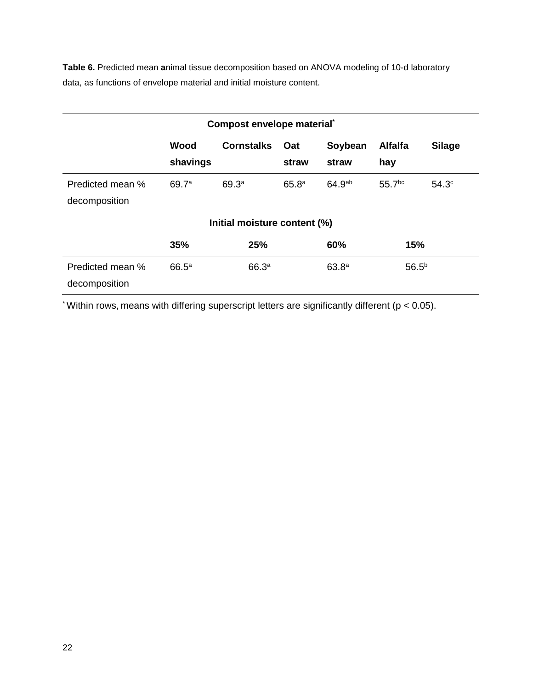**Table 6.** Predicted mean **a**nimal tissue decomposition based on ANOVA modeling of 10-d laboratory data, as functions of envelope material and initial moisture content.

| Compost envelope material*        |                   |                   |                   |                    |                       |                   |  |  |
|-----------------------------------|-------------------|-------------------|-------------------|--------------------|-----------------------|-------------------|--|--|
|                                   | Wood<br>shavings  | <b>Cornstalks</b> | Oat<br>straw      | Soybean<br>straw   | <b>Alfalfa</b><br>hay | <b>Silage</b>     |  |  |
| Predicted mean %<br>decomposition | 69.7 <sup>a</sup> | 69.3 <sup>a</sup> | 65.8 <sup>a</sup> | 64.9 <sup>ab</sup> | 55.7 <sup>bc</sup>    | 54.3 <sup>c</sup> |  |  |
| Initial moisture content (%)      |                   |                   |                   |                    |                       |                   |  |  |
|                                   | 35%               | 25%               | 15%<br>60%        |                    |                       |                   |  |  |
| Predicted mean %<br>decomposition | $66.5^{\circ}$    | 66.3 <sup>a</sup> |                   | 63.8 <sup>a</sup>  | $56.5^{b}$            |                   |  |  |

 $*$  Within rows, means with differing superscript letters are significantly different ( $p < 0.05$ ).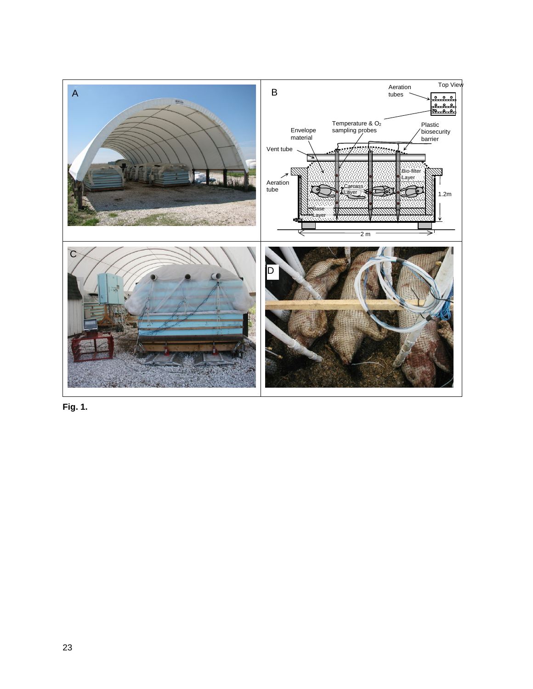

**Fig. 1.**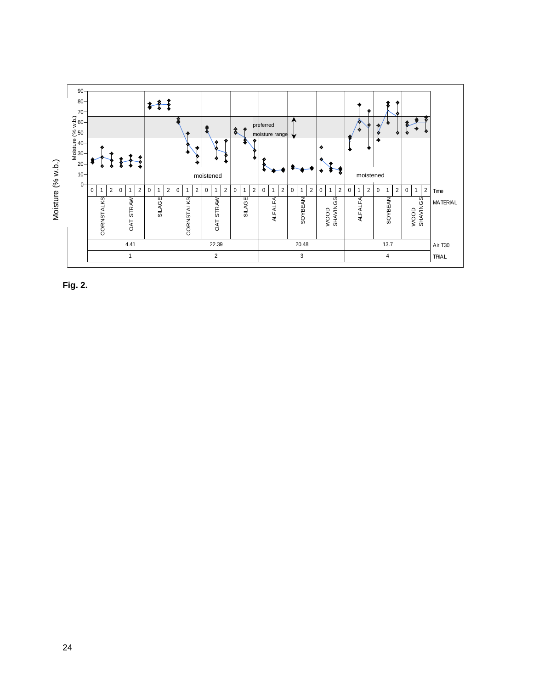

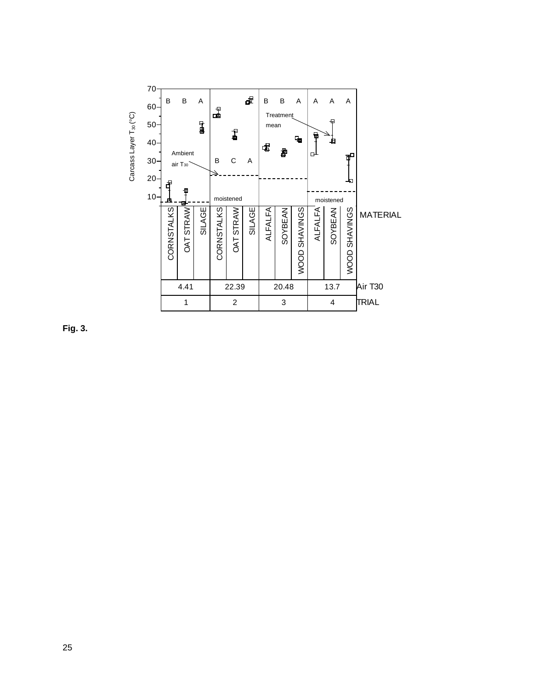

**Fig. 3.**